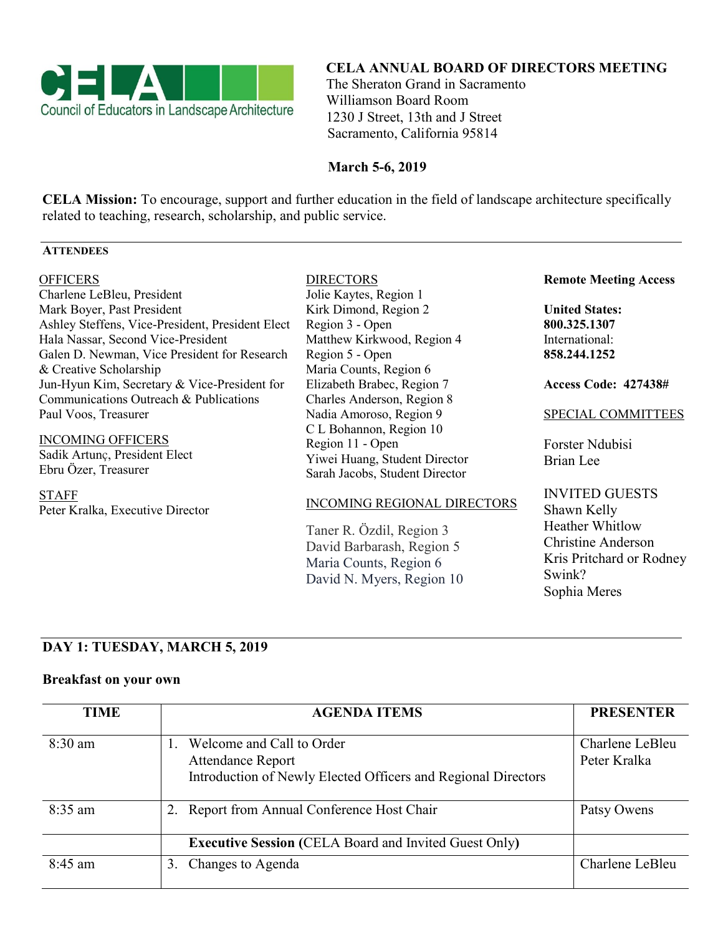

### **CELA ANNUAL BOARD OF DIRECTORS MEETING**

 The Sheraton Grand in Sacramento Williamson Board Room 1230 J Street, 13th and J Street Sacramento, California 95814

### **March 5-6, 2019**

**CELA Mission:** To encourage, support and further education in the field of landscape architecture specifically related to teaching, research, scholarship, and public service.

### **ATTENDEES**

#### **OFFICERS**

Charlene LeBleu, President Mark Boyer, Past President Ashley Steffens, Vice-President, President Elect Hala Nassar, Second Vice-President Galen D. Newman, Vice President for Research & Creative Scholarship Jun-Hyun Kim, Secretary & Vice-President for Communications Outreach & Publications Paul Voos, Treasurer

INCOMING OFFICERS Sadik Artunç, President Elect Ebru Özer, Treasurer

STAFF Peter Kralka, Executive Director

### DIRECTORS

Jolie Kaytes, Region 1 Kirk Dimond, Region 2 Region 3 - Open Matthew Kirkwood, Region 4 Region 5 - Open Maria Counts, Region 6 Elizabeth Brabec, Region 7 Charles Anderson, Region 8 Nadia Amoroso, Region 9 C L Bohannon, Region 10 Region 11 - Open Yiwei Huang, Student Director Sarah Jacobs, Student Director

### INCOMING REGIONAL DIRECTORS

Taner R. Özdil, Region 3 David Barbarash, Region 5 Maria Counts, Region 6 David N. Myers, Region 10

#### **Remote Meeting Access**

**United States: 800.325.1307** International: **858.244.1252**

**Access Code: 427438#**

### SPECIAL COMMITTEES

Forster Ndubisi Brian Lee

INVITED GUESTS Shawn Kelly Heather Whitlow Christine Anderson Kris Pritchard or Rodney Swink? Sophia Meres

# **DAY 1: TUESDAY, MARCH 5, 2019**

### **Breakfast on your own**

| <b>TIME</b> | <b>AGENDA ITEMS</b>                                                                                                    | <b>PRESENTER</b>                |
|-------------|------------------------------------------------------------------------------------------------------------------------|---------------------------------|
| $8:30$ am   | Welcome and Call to Order<br><b>Attendance Report</b><br>Introduction of Newly Elected Officers and Regional Directors | Charlene LeBleu<br>Peter Kralka |
| $8:35$ am   | Report from Annual Conference Host Chair                                                                               | Patsy Owens                     |
|             | <b>Executive Session (CELA Board and Invited Guest Only)</b>                                                           |                                 |
| $8:45$ am   | Changes to Agenda<br>3.                                                                                                | Charlene LeBleu                 |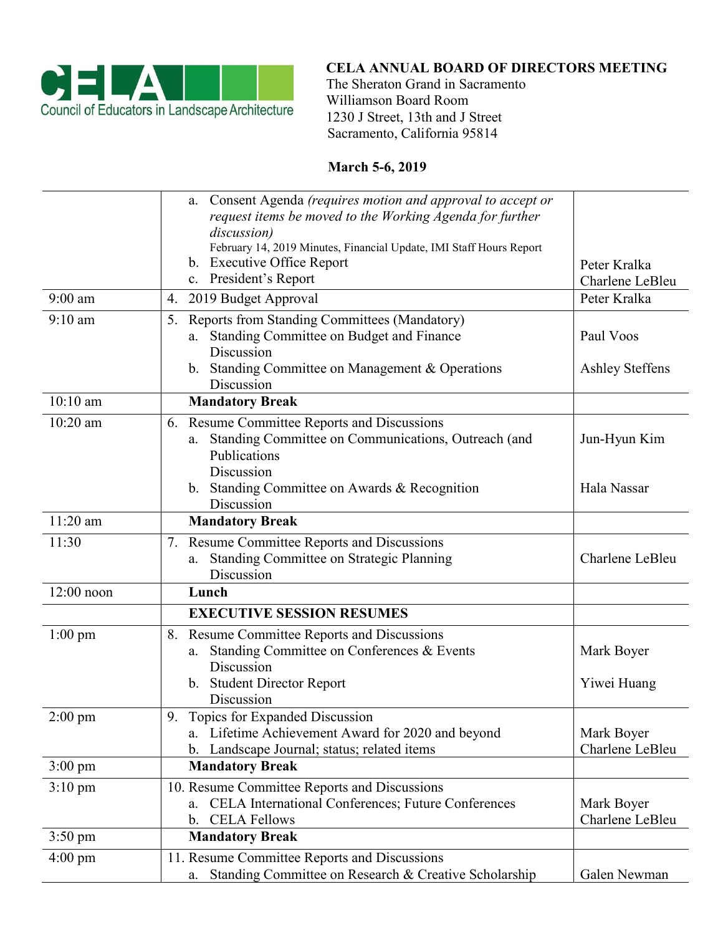

# **CELA ANNUAL BOARD OF DIRECTORS MEETING**

 The Sheraton Grand in Sacramento Williamson Board Room 1230 J Street, 13th and J Street Sacramento, California 95814

# **March 5-6, 2019**

|                   | a. Consent Agenda (requires motion and approval to accept or<br>request items be moved to the Working Agenda for further<br>discussion)<br>February 14, 2019 Minutes, Financial Update, IMI Staff Hours Report<br>b. Executive Office Report<br>c. President's Report | Peter Kralka                        |
|-------------------|-----------------------------------------------------------------------------------------------------------------------------------------------------------------------------------------------------------------------------------------------------------------------|-------------------------------------|
| $9:00$ am         | 2019 Budget Approval<br>4.                                                                                                                                                                                                                                            | Charlene LeBleu<br>Peter Kralka     |
| $9:10$ am         | Reports from Standing Committees (Mandatory)<br>5.                                                                                                                                                                                                                    |                                     |
|                   | Standing Committee on Budget and Finance<br>a.<br>Discussion<br>b. Standing Committee on Management & Operations<br>Discussion                                                                                                                                        | Paul Voos<br><b>Ashley Steffens</b> |
| $10:10$ am        | <b>Mandatory Break</b>                                                                                                                                                                                                                                                |                                     |
| $10:20$ am        | 6. Resume Committee Reports and Discussions                                                                                                                                                                                                                           |                                     |
|                   | Standing Committee on Communications, Outreach (and<br>a.<br>Publications<br>Discussion                                                                                                                                                                               | Jun-Hyun Kim                        |
|                   | b. Standing Committee on Awards & Recognition<br>Discussion                                                                                                                                                                                                           | Hala Nassar                         |
| $11:20$ am        | <b>Mandatory Break</b>                                                                                                                                                                                                                                                |                                     |
| 11:30             | 7. Resume Committee Reports and Discussions<br><b>Standing Committee on Strategic Planning</b><br>a.<br>Discussion                                                                                                                                                    | Charlene LeBleu                     |
| 12:00 noon        | Lunch                                                                                                                                                                                                                                                                 |                                     |
|                   | <b>EXECUTIVE SESSION RESUMES</b>                                                                                                                                                                                                                                      |                                     |
| $1:00 \text{ pm}$ | <b>Resume Committee Reports and Discussions</b><br>8.<br>Standing Committee on Conferences & Events<br>a.<br>Discussion<br>b. Student Director Report<br>Discussion                                                                                                   | Mark Boyer<br>Yiwei Huang           |
| $2:00$ pm         | Topics for Expanded Discussion<br>9.<br>a. Lifetime Achievement Award for 2020 and beyond<br>Landscape Journal; status; related items<br>$\mathbf{b}$ .                                                                                                               | Mark Boyer<br>Charlene LeBleu       |
| $3:00 \text{ pm}$ | <b>Mandatory Break</b>                                                                                                                                                                                                                                                |                                     |
| $3:10 \text{ pm}$ | 10. Resume Committee Reports and Discussions<br>a. CELA International Conferences; Future Conferences<br><b>CELA Fellows</b><br>$\mathbf{b}$ .                                                                                                                        | Mark Boyer<br>Charlene LeBleu       |
| $3:50 \text{ pm}$ | <b>Mandatory Break</b>                                                                                                                                                                                                                                                |                                     |
| $4:00 \text{ pm}$ | 11. Resume Committee Reports and Discussions<br>Standing Committee on Research & Creative Scholarship<br>a.                                                                                                                                                           | Galen Newman                        |